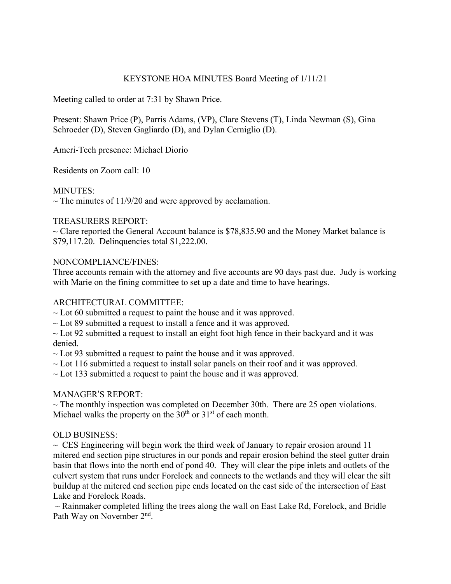# KEYSTONE HOA MINUTES Board Meeting of 1/11/21

Meeting called to order at 7:31 by Shawn Price.

Present: Shawn Price (P), Parris Adams, (VP), Clare Stevens (T), Linda Newman (S), Gina Schroeder (D), Steven Gagliardo (D), and Dylan Cerniglio (D).

Ameri-Tech presence: Michael Diorio

Residents on Zoom call: 10

## MINUTES:

 $\sim$  The minutes of 11/9/20 and were approved by acclamation.

## TREASURERS REPORT:

 $\sim$  Clare reported the General Account balance is \$78,835.90 and the Money Market balance is \$79,117.20. Delinquencies total \$1,222.00.

## NONCOMPLIANCE/FINES:

Three accounts remain with the attorney and five accounts are 90 days past due. Judy is working with Marie on the fining committee to set up a date and time to have hearings.

## ARCHITECTURAL COMMITTEE:

 $\sim$  Lot 60 submitted a request to paint the house and it was approved.

 $\sim$  Lot 89 submitted a request to install a fence and it was approved.

 $\sim$  Lot 92 submitted a request to install an eight foot high fence in their backyard and it was denied.

 $\sim$  Lot 93 submitted a request to paint the house and it was approved.

 $\sim$  Lot 116 submitted a request to install solar panels on their roof and it was approved.

 $\sim$  Lot 133 submitted a request to paint the house and it was approved.

## MANAGER'S REPORT:

 $\sim$  The monthly inspection was completed on December 30th. There are 25 open violations. Michael walks the property on the  $30<sup>th</sup>$  or  $31<sup>st</sup>$  of each month.

#### OLD BUSINESS:

 $\sim$  CES Engineering will begin work the third week of January to repair erosion around 11 mitered end section pipe structures in our ponds and repair erosion behind the steel gutter drain basin that flows into the north end of pond 40. They will clear the pipe inlets and outlets of the culvert system that runs under Forelock and connects to the wetlands and they will clear the silt buildup at the mitered end section pipe ends located on the east side of the intersection of East Lake and Forelock Roads.

 $\sim$  Rainmaker completed lifting the trees along the wall on East Lake Rd, Forelock, and Bridle Path Way on November 2nd.